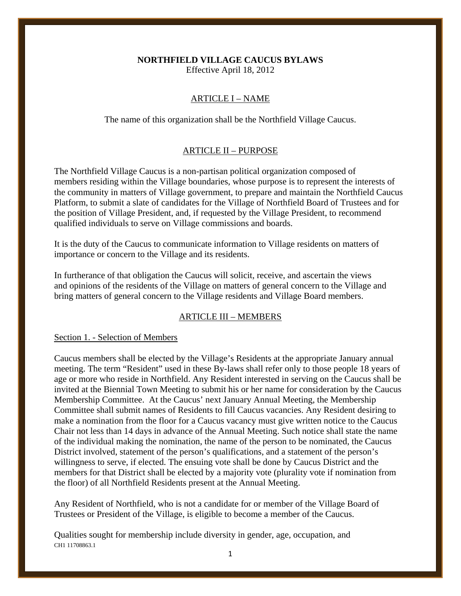# **NORTHFIELD VILLAGE CAUCUS BYLAWS**

Effective April 18, 2012

# ARTICLE I – NAME

The name of this organization shall be the Northfield Village Caucus.

## ARTICLE II – PURPOSE

The Northfield Village Caucus is a non-partisan political organization composed of members residing within the Village boundaries, whose purpose is to represent the interests of the community in matters of Village government, to prepare and maintain the Northfield Caucus Platform, to submit a slate of candidates for the Village of Northfield Board of Trustees and for the position of Village President, and, if requested by the Village President, to recommend qualified individuals to serve on Village commissions and boards.

It is the duty of the Caucus to communicate information to Village residents on matters of importance or concern to the Village and its residents.

In furtherance of that obligation the Caucus will solicit, receive, and ascertain the views and opinions of the residents of the Village on matters of general concern to the Village and bring matters of general concern to the Village residents and Village Board members.

# ARTICLE III – MEMBERS

#### Section 1. - Selection of Members

Caucus members shall be elected by the Village's Residents at the appropriate January annual meeting. The term "Resident" used in these By-laws shall refer only to those people 18 years of age or more who reside in Northfield. Any Resident interested in serving on the Caucus shall be invited at the Biennial Town Meeting to submit his or her name for consideration by the Caucus Membership Committee. At the Caucus' next January Annual Meeting, the Membership Committee shall submit names of Residents to fill Caucus vacancies. Any Resident desiring to make a nomination from the floor for a Caucus vacancy must give written notice to the Caucus Chair not less than 14 days in advance of the Annual Meeting. Such notice shall state the name of the individual making the nomination, the name of the person to be nominated, the Caucus District involved, statement of the person's qualifications, and a statement of the person's willingness to serve, if elected. The ensuing vote shall be done by Caucus District and the members for that District shall be elected by a majority vote (plurality vote if nomination from the floor) of all Northfield Residents present at the Annual Meeting.

Any Resident of Northfield, who is not a candidate for or member of the Village Board of Trustees or President of the Village, is eligible to become a member of the Caucus.

CH1 11708863.1 Qualities sought for membership include diversity in gender, age, occupation, and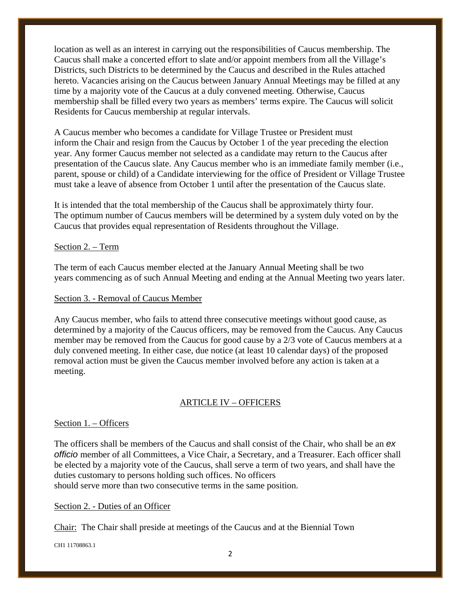location as well as an interest in carrying out the responsibilities of Caucus membership. The Caucus shall make a concerted effort to slate and/or appoint members from all the Village's Districts, such Districts to be determined by the Caucus and described in the Rules attached hereto. Vacancies arising on the Caucus between January Annual Meetings may be filled at any time by a majority vote of the Caucus at a duly convened meeting. Otherwise, Caucus membership shall be filled every two years as members' terms expire. The Caucus will solicit Residents for Caucus membership at regular intervals.

A Caucus member who becomes a candidate for Village Trustee or President must inform the Chair and resign from the Caucus by October 1 of the year preceding the election year. Any former Caucus member not selected as a candidate may return to the Caucus after presentation of the Caucus slate. Any Caucus member who is an immediate family member (i.e., parent, spouse or child) of a Candidate interviewing for the office of President or Village Trustee must take a leave of absence from October 1 until after the presentation of the Caucus slate.

It is intended that the total membership of the Caucus shall be approximately thirty four. The optimum number of Caucus members will be determined by a system duly voted on by the Caucus that provides equal representation of Residents throughout the Village.

## Section 2. – Term

The term of each Caucus member elected at the January Annual Meeting shall be two years commencing as of such Annual Meeting and ending at the Annual Meeting two years later.

#### Section 3. - Removal of Caucus Member

Any Caucus member, who fails to attend three consecutive meetings without good cause, as determined by a majority of the Caucus officers, may be removed from the Caucus. Any Caucus member may be removed from the Caucus for good cause by a 2/3 vote of Caucus members at a duly convened meeting. In either case, due notice (at least 10 calendar days) of the proposed removal action must be given the Caucus member involved before any action is taken at a meeting.

# ARTICLE IV – OFFICERS

## Section 1. – Officers

The officers shall be members of the Caucus and shall consist of the Chair, who shall be an *ex officio* member of all Committees, a Vice Chair, a Secretary, and a Treasurer. Each officer shall be elected by a majority vote of the Caucus, shall serve a term of two years, and shall have the duties customary to persons holding such offices. No officers should serve more than two consecutive terms in the same position.

## Section 2. - Duties of an Officer

Chair: The Chair shall preside at meetings of the Caucus and at the Biennial Town

CH1 11708863.1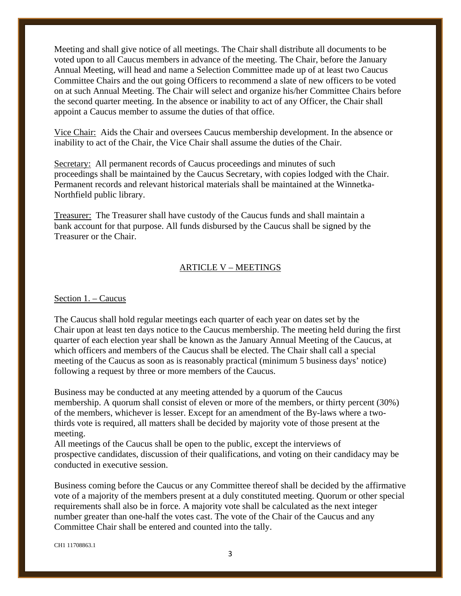Meeting and shall give notice of all meetings. The Chair shall distribute all documents to be voted upon to all Caucus members in advance of the meeting. The Chair, before the January Annual Meeting, will head and name a Selection Committee made up of at least two Caucus Committee Chairs and the out going Officers to recommend a slate of new officers to be voted on at such Annual Meeting. The Chair will select and organize his/her Committee Chairs before the second quarter meeting. In the absence or inability to act of any Officer, the Chair shall appoint a Caucus member to assume the duties of that office.

Vice Chair: Aids the Chair and oversees Caucus membership development. In the absence or inability to act of the Chair, the Vice Chair shall assume the duties of the Chair.

Secretary: All permanent records of Caucus proceedings and minutes of such proceedings shall be maintained by the Caucus Secretary, with copies lodged with the Chair. Permanent records and relevant historical materials shall be maintained at the Winnetka-Northfield public library.

Treasurer: The Treasurer shall have custody of the Caucus funds and shall maintain a bank account for that purpose. All funds disbursed by the Caucus shall be signed by the Treasurer or the Chair.

## ARTICLE V – MEETINGS

#### Section 1. – Caucus

The Caucus shall hold regular meetings each quarter of each year on dates set by the Chair upon at least ten days notice to the Caucus membership. The meeting held during the first quarter of each election year shall be known as the January Annual Meeting of the Caucus, at which officers and members of the Caucus shall be elected. The Chair shall call a special meeting of the Caucus as soon as is reasonably practical (minimum 5 business days' notice) following a request by three or more members of the Caucus.

Business may be conducted at any meeting attended by a quorum of the Caucus membership. A quorum shall consist of eleven or more of the members, or thirty percent (30%) of the members, whichever is lesser. Except for an amendment of the By-laws where a twothirds vote is required, all matters shall be decided by majority vote of those present at the meeting.

All meetings of the Caucus shall be open to the public, except the interviews of prospective candidates, discussion of their qualifications, and voting on their candidacy may be conducted in executive session.

Business coming before the Caucus or any Committee thereof shall be decided by the affirmative vote of a majority of the members present at a duly constituted meeting. Quorum or other special requirements shall also be in force. A majority vote shall be calculated as the next integer number greater than one-half the votes cast. The vote of the Chair of the Caucus and any Committee Chair shall be entered and counted into the tally.

CH1 11708863.1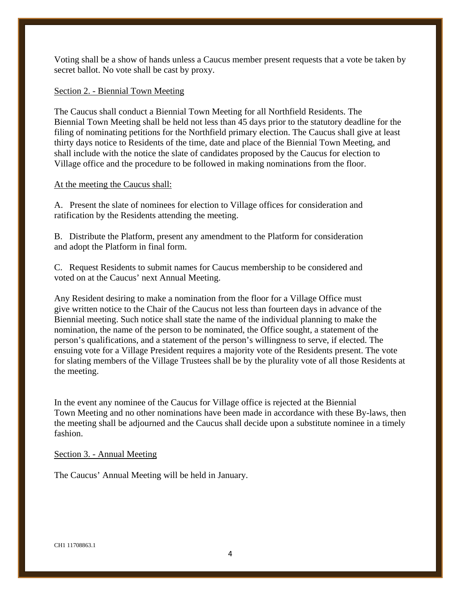Voting shall be a show of hands unless a Caucus member present requests that a vote be taken by secret ballot. No vote shall be cast by proxy.

# Section 2. - Biennial Town Meeting

The Caucus shall conduct a Biennial Town Meeting for all Northfield Residents. The Biennial Town Meeting shall be held not less than 45 days prior to the statutory deadline for the filing of nominating petitions for the Northfield primary election. The Caucus shall give at least thirty days notice to Residents of the time, date and place of the Biennial Town Meeting, and shall include with the notice the slate of candidates proposed by the Caucus for election to Village office and the procedure to be followed in making nominations from the floor.

# At the meeting the Caucus shall:

A. Present the slate of nominees for election to Village offices for consideration and ratification by the Residents attending the meeting.

B. Distribute the Platform, present any amendment to the Platform for consideration and adopt the Platform in final form.

C. Request Residents to submit names for Caucus membership to be considered and voted on at the Caucus' next Annual Meeting.

Any Resident desiring to make a nomination from the floor for a Village Office must give written notice to the Chair of the Caucus not less than fourteen days in advance of the Biennial meeting. Such notice shall state the name of the individual planning to make the nomination, the name of the person to be nominated, the Office sought, a statement of the person's qualifications, and a statement of the person's willingness to serve, if elected. The ensuing vote for a Village President requires a majority vote of the Residents present. The vote for slating members of the Village Trustees shall be by the plurality vote of all those Residents at the meeting.

In the event any nominee of the Caucus for Village office is rejected at the Biennial Town Meeting and no other nominations have been made in accordance with these By-laws, then the meeting shall be adjourned and the Caucus shall decide upon a substitute nominee in a timely fashion.

## Section 3. - Annual Meeting

The Caucus' Annual Meeting will be held in January.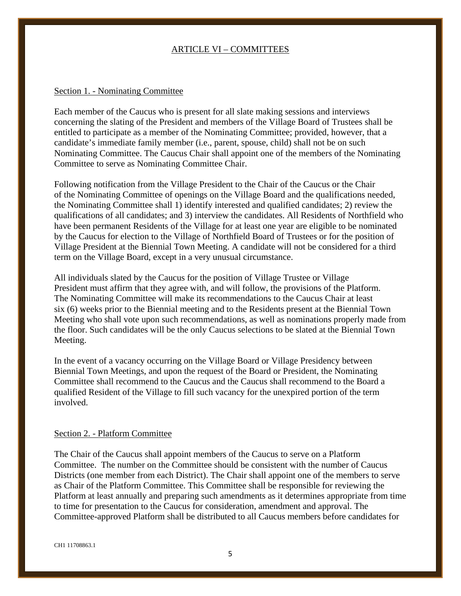# ARTICLE VI – COMMITTEES

## Section 1. - Nominating Committee

Each member of the Caucus who is present for all slate making sessions and interviews concerning the slating of the President and members of the Village Board of Trustees shall be entitled to participate as a member of the Nominating Committee; provided, however, that a candidate's immediate family member (i.e., parent, spouse, child) shall not be on such Nominating Committee. The Caucus Chair shall appoint one of the members of the Nominating Committee to serve as Nominating Committee Chair.

Following notification from the Village President to the Chair of the Caucus or the Chair of the Nominating Committee of openings on the Village Board and the qualifications needed, the Nominating Committee shall 1) identify interested and qualified candidates; 2) review the qualifications of all candidates; and 3) interview the candidates. All Residents of Northfield who have been permanent Residents of the Village for at least one year are eligible to be nominated by the Caucus for election to the Village of Northfield Board of Trustees or for the position of Village President at the Biennial Town Meeting. A candidate will not be considered for a third term on the Village Board, except in a very unusual circumstance.

All individuals slated by the Caucus for the position of Village Trustee or Village President must affirm that they agree with, and will follow, the provisions of the Platform. The Nominating Committee will make its recommendations to the Caucus Chair at least six (6) weeks prior to the Biennial meeting and to the Residents present at the Biennial Town Meeting who shall vote upon such recommendations, as well as nominations properly made from the floor. Such candidates will be the only Caucus selections to be slated at the Biennial Town Meeting.

In the event of a vacancy occurring on the Village Board or Village Presidency between Biennial Town Meetings, and upon the request of the Board or President, the Nominating Committee shall recommend to the Caucus and the Caucus shall recommend to the Board a qualified Resident of the Village to fill such vacancy for the unexpired portion of the term involved.

#### Section 2. - Platform Committee

The Chair of the Caucus shall appoint members of the Caucus to serve on a Platform Committee. The number on the Committee should be consistent with the number of Caucus Districts (one member from each District). The Chair shall appoint one of the members to serve as Chair of the Platform Committee. This Committee shall be responsible for reviewing the Platform at least annually and preparing such amendments as it determines appropriate from time to time for presentation to the Caucus for consideration, amendment and approval. The Committee-approved Platform shall be distributed to all Caucus members before candidates for

CH1 11708863.1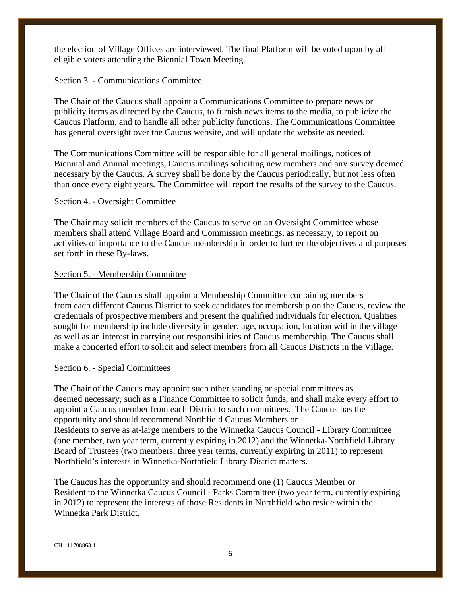the election of Village Offices are interviewed. The final Platform will be voted upon by all eligible voters attending the Biennial Town Meeting.

## Section 3. - Communications Committee

The Chair of the Caucus shall appoint a Communications Committee to prepare news or publicity items as directed by the Caucus, to furnish news items to the media, to publicize the Caucus Platform, and to handle all other publicity functions. The Communications Committee has general oversight over the Caucus website, and will update the website as needed.

The Communications Committee will be responsible for all general mailings, notices of Biennial and Annual meetings, Caucus mailings soliciting new members and any survey deemed necessary by the Caucus. A survey shall be done by the Caucus periodically, but not less often than once every eight years. The Committee will report the results of the survey to the Caucus.

### Section 4. - Oversight Committee

The Chair may solicit members of the Caucus to serve on an Oversight Committee whose members shall attend Village Board and Commission meetings, as necessary, to report on activities of importance to the Caucus membership in order to further the objectives and purposes set forth in these By-laws.

### Section 5. - Membership Committee

The Chair of the Caucus shall appoint a Membership Committee containing members from each different Caucus District to seek candidates for membership on the Caucus, review the credentials of prospective members and present the qualified individuals for election. Qualities sought for membership include diversity in gender, age, occupation, location within the village as well as an interest in carrying out responsibilities of Caucus membership. The Caucus shall make a concerted effort to solicit and select members from all Caucus Districts in the Village.

## Section 6. - Special Committees

The Chair of the Caucus may appoint such other standing or special committees as deemed necessary, such as a Finance Committee to solicit funds, and shall make every effort to appoint a Caucus member from each District to such committees. The Caucus has the opportunity and should recommend Northfield Caucus Members or Residents to serve as at-large members to the Winnetka Caucus Council - Library Committee (one member, two year term, currently expiring in 2012) and the Winnetka-Northfield Library Board of Trustees (two members, three year terms, currently expiring in 2011) to represent Northfield's interests in Winnetka-Northfield Library District matters.

The Caucus has the opportunity and should recommend one (1) Caucus Member or Resident to the Winnetka Caucus Council - Parks Committee (two year term, currently expiring in 2012) to represent the interests of those Residents in Northfield who reside within the Winnetka Park District.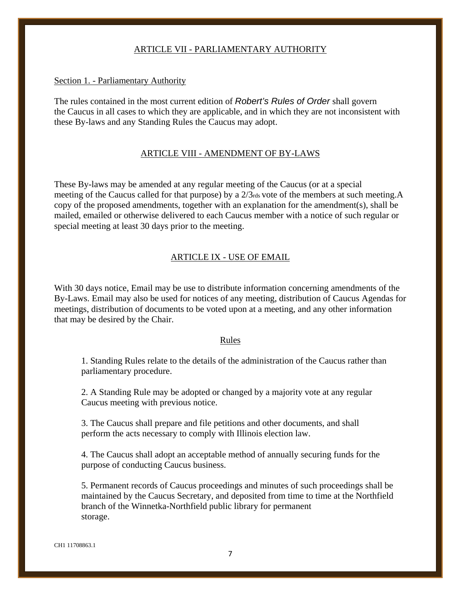## ARTICLE VII - PARLIAMENTARY AUTHORITY

### Section 1. - Parliamentary Authority

The rules contained in the most current edition of *Robert's Rules of Order* shall govern the Caucus in all cases to which they are applicable, and in which they are not inconsistent with these By-laws and any Standing Rules the Caucus may adopt.

### ARTICLE VIII - AMENDMENT OF BY-LAWS

These By-laws may be amended at any regular meeting of the Caucus (or at a special meeting of the Caucus called for that purpose) by a 2/3rds vote of the members at such meeting.A copy of the proposed amendments, together with an explanation for the amendment(s), shall be mailed, emailed or otherwise delivered to each Caucus member with a notice of such regular or special meeting at least 30 days prior to the meeting.

# ARTICLE IX - USE OF EMAIL

With 30 days notice, Email may be use to distribute information concerning amendments of the By-Laws. Email may also be used for notices of any meeting, distribution of Caucus Agendas for meetings, distribution of documents to be voted upon at a meeting, and any other information that may be desired by the Chair.

### Rules

1. Standing Rules relate to the details of the administration of the Caucus rather than parliamentary procedure.

2. A Standing Rule may be adopted or changed by a majority vote at any regular Caucus meeting with previous notice.

3. The Caucus shall prepare and file petitions and other documents, and shall perform the acts necessary to comply with Illinois election law.

4. The Caucus shall adopt an acceptable method of annually securing funds for the purpose of conducting Caucus business.

5. Permanent records of Caucus proceedings and minutes of such proceedings shall be maintained by the Caucus Secretary, and deposited from time to time at the Northfield branch of the Winnetka-Northfield public library for permanent storage.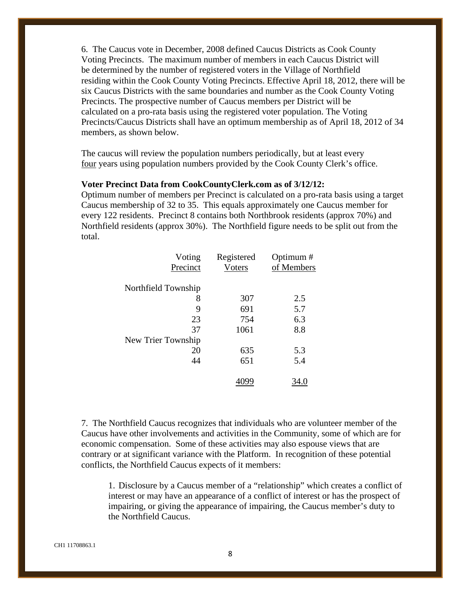6. The Caucus vote in December, 2008 defined Caucus Districts as Cook County Voting Precincts. The maximum number of members in each Caucus District will be determined by the number of registered voters in the Village of Northfield residing within the Cook County Voting Precincts. Effective April 18, 2012, there will be six Caucus Districts with the same boundaries and number as the Cook County Voting Precincts. The prospective number of Caucus members per District will be calculated on a pro-rata basis using the registered voter population. The Voting Precincts/Caucus Districts shall have an optimum membership as of April 18, 2012 of 34 members, as shown below.

The caucus will review the population numbers periodically, but at least every four years using population numbers provided by the Cook County Clerk's office.

#### **Voter Precinct Data from CookCountyClerk.com as of 3/12/12:**

Optimum number of members per Precinct is calculated on a pro-rata basis using a target Caucus membership of 32 to 35. This equals approximately one Caucus member for every 122 residents. Precinct 8 contains both Northbrook residents (approx 70%) and Northfield residents (approx 30%). The Northfield figure needs to be split out from the total.

| Voting              | Registered | Optimum#   |
|---------------------|------------|------------|
| Precinct            | Voters     | of Members |
|                     |            |            |
| Northfield Township |            |            |
| 8                   | 307        | 2.5        |
| 9                   | 691        | 5.7        |
| 23                  | 754        | 6.3        |
| 37                  | 1061       | 8.8        |
| New Trier Township  |            |            |
| 20                  | 635        | 5.3        |
| 44                  | 651        | 5.4        |
|                     |            |            |
|                     |            |            |

7. The Northfield Caucus recognizes that individuals who are volunteer member of the Caucus have other involvements and activities in the Community, some of which are for economic compensation. Some of these activities may also espouse views that are contrary or at significant variance with the Platform. In recognition of these potential conflicts, the Northfield Caucus expects of it members:

1. Disclosure by a Caucus member of a "relationship" which creates a conflict of interest or may have an appearance of a conflict of interest or has the prospect of impairing, or giving the appearance of impairing, the Caucus member's duty to the Northfield Caucus.